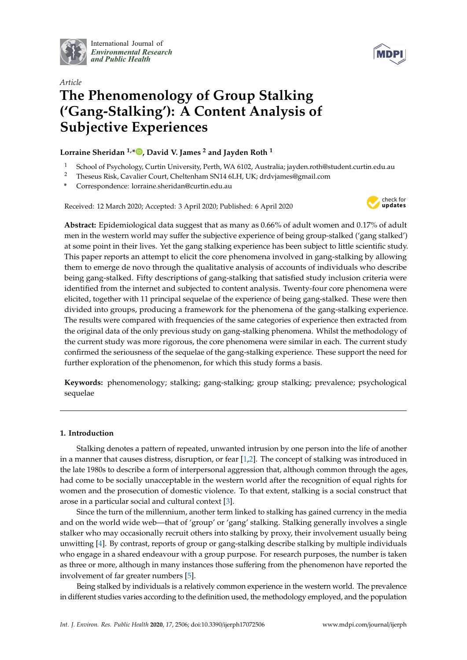

International Journal of *[Environmental Research](http://www.mdpi.com/journal/ijerph) and Public Health*



# *Article* **The Phenomenology of Group Stalking ('Gang-Stalking'): A Content Analysis of Subjective Experiences**

# **Lorraine Sheridan 1,\* [,](https://orcid.org/0000-0002-8705-0531) David V. James <sup>2</sup> and Jayden Roth <sup>1</sup>**

- <sup>1</sup> School of Psychology, Curtin University, Perth, WA 6102, Australia; jayden.roth@student.curtin.edu.au
- <sup>2</sup> Theseus Risk, Cavalier Court, Cheltenham SN14 6LH, UK; drdvjames@gmail.com
- **\*** Correspondence: lorraine.sheridan@curtin.edu.au

Received: 12 March 2020; Accepted: 3 April 2020; Published: 6 April 2020



**Abstract:** Epidemiological data suggest that as many as 0.66% of adult women and 0.17% of adult men in the western world may suffer the subjective experience of being group-stalked ('gang stalked') at some point in their lives. Yet the gang stalking experience has been subject to little scientific study. This paper reports an attempt to elicit the core phenomena involved in gang-stalking by allowing them to emerge de novo through the qualitative analysis of accounts of individuals who describe being gang-stalked. Fifty descriptions of gang-stalking that satisfied study inclusion criteria were identified from the internet and subjected to content analysis. Twenty-four core phenomena were elicited, together with 11 principal sequelae of the experience of being gang-stalked. These were then divided into groups, producing a framework for the phenomena of the gang-stalking experience. The results were compared with frequencies of the same categories of experience then extracted from the original data of the only previous study on gang-stalking phenomena. Whilst the methodology of the current study was more rigorous, the core phenomena were similar in each. The current study confirmed the seriousness of the sequelae of the gang-stalking experience. These support the need for further exploration of the phenomenon, for which this study forms a basis.

**Keywords:** phenomenology; stalking; gang-stalking; group stalking; prevalence; psychological sequelae

## **1. Introduction**

Stalking denotes a pattern of repeated, unwanted intrusion by one person into the life of another in a manner that causes distress, disruption, or fear [\[1,](#page-15-0)[2\]](#page-15-1). The concept of stalking was introduced in the late 1980s to describe a form of interpersonal aggression that, although common through the ages, had come to be socially unacceptable in the western world after the recognition of equal rights for women and the prosecution of domestic violence. To that extent, stalking is a social construct that arose in a particular social and cultural context [\[3\]](#page-15-2).

Since the turn of the millennium, another term linked to stalking has gained currency in the media and on the world wide web—that of 'group' or 'gang' stalking. Stalking generally involves a single stalker who may occasionally recruit others into stalking by proxy, their involvement usually being unwitting [\[4\]](#page-15-3). By contrast, reports of group or gang-stalking describe stalking by multiple individuals who engage in a shared endeavour with a group purpose. For research purposes, the number is taken as three or more, although in many instances those suffering from the phenomenon have reported the involvement of far greater numbers [\[5\]](#page-15-4).

Being stalked by individuals is a relatively common experience in the western world. The prevalence in different studies varies according to the definition used, the methodology employed, and the population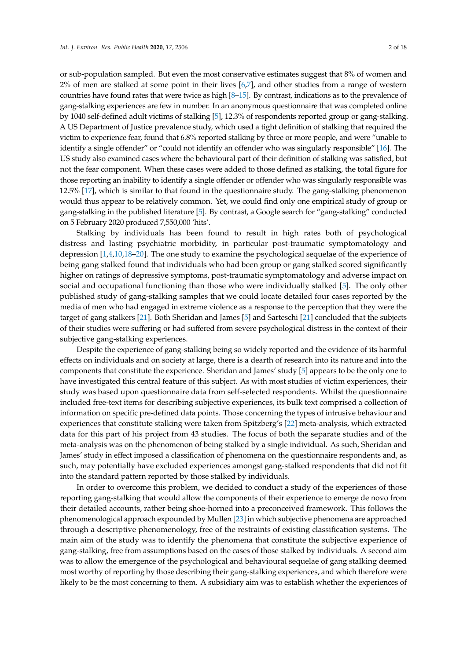or sub-population sampled. But even the most conservative estimates suggest that 8% of women and 2% of men are stalked at some point in their lives [\[6,](#page-15-5)[7\]](#page-15-6), and other studies from a range of western countries have found rates that were twice as high [\[8–](#page-15-7)[15\]](#page-16-0). By contrast, indications as to the prevalence of gang-stalking experiences are few in number. In an anonymous questionnaire that was completed online by 1040 self-defined adult victims of stalking [\[5\]](#page-15-4), 12.3% of respondents reported group or gang-stalking. A US Department of Justice prevalence study, which used a tight definition of stalking that required the victim to experience fear, found that 6.8% reported stalking by three or more people, and were "unable to identify a single offender" or "could not identify an offender who was singularly responsible" [\[16\]](#page-16-1). The US study also examined cases where the behavioural part of their definition of stalking was satisfied, but not the fear component. When these cases were added to those defined as stalking, the total figure for those reporting an inability to identify a single offender or offender who was singularly responsible was 12.5% [\[17\]](#page-16-2), which is similar to that found in the questionnaire study. The gang-stalking phenomenon would thus appear to be relatively common. Yet, we could find only one empirical study of group or gang-stalking in the published literature [\[5\]](#page-15-4). By contrast, a Google search for "gang-stalking" conducted on 5 February 2020 produced 7,550,000 'hits'.

Stalking by individuals has been found to result in high rates both of psychological distress and lasting psychiatric morbidity, in particular post-traumatic symptomatology and depression [\[1](#page-15-0)[,4](#page-15-3)[,10](#page-16-3)[,18](#page-16-4)[–20\]](#page-16-5). The one study to examine the psychological sequelae of the experience of being gang stalked found that individuals who had been group or gang stalked scored significantly higher on ratings of depressive symptoms, post-traumatic symptomatology and adverse impact on social and occupational functioning than those who were individually stalked [\[5\]](#page-15-4). The only other published study of gang-stalking samples that we could locate detailed four cases reported by the media of men who had engaged in extreme violence as a response to the perception that they were the target of gang stalkers [\[21\]](#page-16-6). Both Sheridan and James [\[5\]](#page-15-4) and Sarteschi [\[21\]](#page-16-6) concluded that the subjects of their studies were suffering or had suffered from severe psychological distress in the context of their subjective gang-stalking experiences.

Despite the experience of gang-stalking being so widely reported and the evidence of its harmful effects on individuals and on society at large, there is a dearth of research into its nature and into the components that constitute the experience. Sheridan and James' study [\[5\]](#page-15-4) appears to be the only one to have investigated this central feature of this subject. As with most studies of victim experiences, their study was based upon questionnaire data from self-selected respondents. Whilst the questionnaire included free-text items for describing subjective experiences, its bulk text comprised a collection of information on specific pre-defined data points. Those concerning the types of intrusive behaviour and experiences that constitute stalking were taken from Spitzberg's [\[22\]](#page-16-7) meta-analysis, which extracted data for this part of his project from 43 studies. The focus of both the separate studies and of the meta-analysis was on the phenomenon of being stalked by a single individual. As such, Sheridan and James' study in effect imposed a classification of phenomena on the questionnaire respondents and, as such, may potentially have excluded experiences amongst gang-stalked respondents that did not fit into the standard pattern reported by those stalked by individuals.

In order to overcome this problem, we decided to conduct a study of the experiences of those reporting gang-stalking that would allow the components of their experience to emerge de novo from their detailed accounts, rather being shoe-horned into a preconceived framework. This follows the phenomenological approach expounded by Mullen [\[23\]](#page-16-8) in which subjective phenomena are approached through a descriptive phenomenology, free of the restraints of existing classification systems. The main aim of the study was to identify the phenomena that constitute the subjective experience of gang-stalking, free from assumptions based on the cases of those stalked by individuals. A second aim was to allow the emergence of the psychological and behavioural sequelae of gang stalking deemed most worthy of reporting by those describing their gang-stalking experiences, and which therefore were likely to be the most concerning to them. A subsidiary aim was to establish whether the experiences of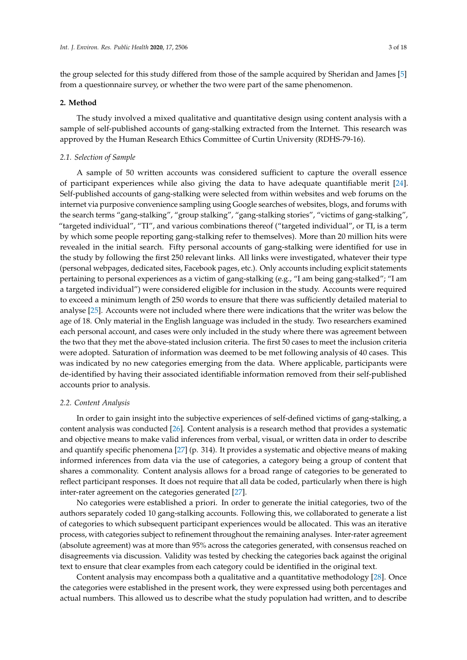the group selected for this study differed from those of the sample acquired by Sheridan and James [\[5\]](#page-15-4) from a questionnaire survey, or whether the two were part of the same phenomenon.

## **2. Method**

The study involved a mixed qualitative and quantitative design using content analysis with a sample of self-published accounts of gang-stalking extracted from the Internet. This research was approved by the Human Research Ethics Committee of Curtin University (RDHS-79-16).

## *2.1. Selection of Sample*

A sample of 50 written accounts was considered sufficient to capture the overall essence of participant experiences while also giving the data to have adequate quantifiable merit [\[24\]](#page-16-9). Self-published accounts of gang-stalking were selected from within websites and web forums on the internet via purposive convenience sampling using Google searches of websites, blogs, and forums with the search terms "gang-stalking", "group stalking", "gang-stalking stories", "victims of gang-stalking", "targeted individual", "TI", and various combinations thereof ("targeted individual", or TI, is a term by which some people reporting gang-stalking refer to themselves). More than 20 million hits were revealed in the initial search. Fifty personal accounts of gang-stalking were identified for use in the study by following the first 250 relevant links. All links were investigated, whatever their type (personal webpages, dedicated sites, Facebook pages, etc.). Only accounts including explicit statements pertaining to personal experiences as a victim of gang-stalking (e.g., "I am being gang-stalked"; "I am a targeted individual") were considered eligible for inclusion in the study. Accounts were required to exceed a minimum length of 250 words to ensure that there was sufficiently detailed material to analyse [\[25\]](#page-16-10). Accounts were not included where there were indications that the writer was below the age of 18. Only material in the English language was included in the study. Two researchers examined each personal account, and cases were only included in the study where there was agreement between the two that they met the above-stated inclusion criteria. The first 50 cases to meet the inclusion criteria were adopted. Saturation of information was deemed to be met following analysis of 40 cases. This was indicated by no new categories emerging from the data. Where applicable, participants were de-identified by having their associated identifiable information removed from their self-published accounts prior to analysis.

## *2.2. Content Analysis*

In order to gain insight into the subjective experiences of self-defined victims of gang-stalking, a content analysis was conducted [\[26\]](#page-16-11). Content analysis is a research method that provides a systematic and objective means to make valid inferences from verbal, visual, or written data in order to describe and quantify specific phenomena [\[27\]](#page-16-12) (p. 314). It provides a systematic and objective means of making informed inferences from data via the use of categories, a category being a group of content that shares a commonality. Content analysis allows for a broad range of categories to be generated to reflect participant responses. It does not require that all data be coded, particularly when there is high inter-rater agreement on the categories generated [\[27\]](#page-16-12).

No categories were established a priori. In order to generate the initial categories, two of the authors separately coded 10 gang-stalking accounts. Following this, we collaborated to generate a list of categories to which subsequent participant experiences would be allocated. This was an iterative process, with categories subject to refinement throughout the remaining analyses. Inter-rater agreement (absolute agreement) was at more than 95% across the categories generated, with consensus reached on disagreements via discussion. Validity was tested by checking the categories back against the original text to ensure that clear examples from each category could be identified in the original text.

Content analysis may encompass both a qualitative and a quantitative methodology [\[28\]](#page-16-13). Once the categories were established in the present work, they were expressed using both percentages and actual numbers. This allowed us to describe what the study population had written, and to describe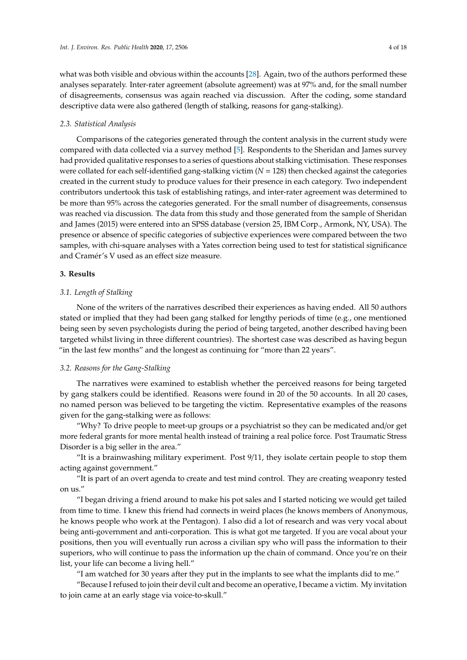what was both visible and obvious within the accounts [\[28\]](#page-16-13). Again, two of the authors performed these analyses separately. Inter-rater agreement (absolute agreement) was at 97% and, for the small number of disagreements, consensus was again reached via discussion. After the coding, some standard descriptive data were also gathered (length of stalking, reasons for gang-stalking).

## *2.3. Statistical Analysis*

Comparisons of the categories generated through the content analysis in the current study were compared with data collected via a survey method [\[5\]](#page-15-4). Respondents to the Sheridan and James survey had provided qualitative responses to a series of questions about stalking victimisation. These responses were collated for each self-identified gang-stalking victim (*N* = 128) then checked against the categories created in the current study to produce values for their presence in each category. Two independent contributors undertook this task of establishing ratings, and inter-rater agreement was determined to be more than 95% across the categories generated. For the small number of disagreements, consensus was reached via discussion. The data from this study and those generated from the sample of Sheridan and James (2015) were entered into an SPSS database (version 25, IBM Corp., Armonk, NY, USA). The presence or absence of specific categories of subjective experiences were compared between the two samples, with chi-square analyses with a Yates correction being used to test for statistical significance and Cramér's V used as an effect size measure.

## **3. Results**

## *3.1. Length of Stalking*

None of the writers of the narratives described their experiences as having ended. All 50 authors stated or implied that they had been gang stalked for lengthy periods of time (e.g., one mentioned being seen by seven psychologists during the period of being targeted, another described having been targeted whilst living in three different countries). The shortest case was described as having begun "in the last few months" and the longest as continuing for "more than 22 years".

## *3.2. Reasons for the Gang-Stalking*

The narratives were examined to establish whether the perceived reasons for being targeted by gang stalkers could be identified. Reasons were found in 20 of the 50 accounts. In all 20 cases, no named person was believed to be targeting the victim. Representative examples of the reasons given for the gang-stalking were as follows:

"Why? To drive people to meet-up groups or a psychiatrist so they can be medicated and/or get more federal grants for more mental health instead of training a real police force. Post Traumatic Stress Disorder is a big seller in the area."

"It is a brainwashing military experiment. Post 9/11, they isolate certain people to stop them acting against government."

"It is part of an overt agenda to create and test mind control. They are creating weaponry tested on us."

"I began driving a friend around to make his pot sales and I started noticing we would get tailed from time to time. I knew this friend had connects in weird places (he knows members of Anonymous, he knows people who work at the Pentagon). I also did a lot of research and was very vocal about being anti-government and anti-corporation. This is what got me targeted. If you are vocal about your positions, then you will eventually run across a civilian spy who will pass the information to their superiors, who will continue to pass the information up the chain of command. Once you're on their list, your life can become a living hell."

"I am watched for 30 years after they put in the implants to see what the implants did to me."

"Because I refused to join their devil cult and become an operative, I became a victim. My invitation to join came at an early stage via voice-to-skull."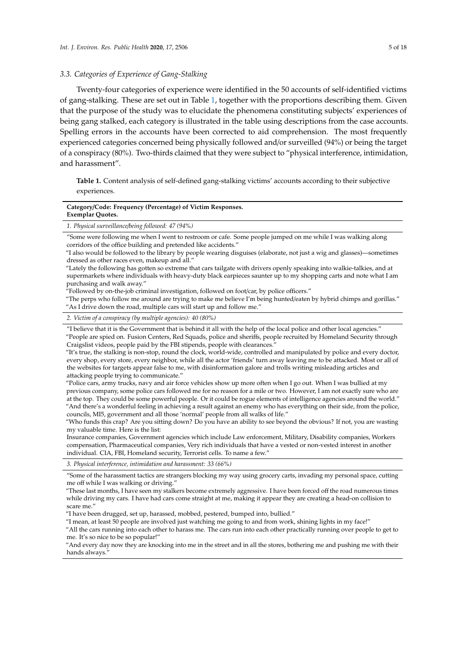## *3.3. Categories of Experience of Gang-Stalking*

Twenty-four categories of experience were identified in the 50 accounts of self-identified victims of gang-stalking. These are set out in Table [1,](#page-8-0) together with the proportions describing them. Given that the purpose of the study was to elucidate the phenomena constituting subjects' experiences of being gang stalked, each category is illustrated in the table using descriptions from the case accounts. Spelling errors in the accounts have been corrected to aid comprehension. The most frequently experienced categories concerned being physically followed and/or surveilled (94%) or being the target of a conspiracy (80%). Two-thirds claimed that they were subject to "physical interference, intimidation, and harassment".

**Table 1.** Content analysis of self-defined gang-stalking victims' accounts according to their subjective experiences.

#### **Category**/**Code: Frequency (Percentage) of Victim Responses. Exemplar Quotes.**

*1. Physical surveillance*/*being followed: 47 (94%)*

"Some were following me when I went to restroom or cafe. Some people jumped on me while I was walking along corridors of the office building and pretended like accidents."

"Lately the following has gotten so extreme that cars tailgate with drivers openly speaking into walkie-talkies, and at supermarkets where individuals with heavy-duty black earpieces saunter up to my shopping carts and note what I am purchasing and walk away."

"Followed by on-the-job criminal investigation, followed on foot/car, by police officers."

"The perps who follow me around are trying to make me believe I'm being hunted/eaten by hybrid chimps and gorillas." "As I drive down the road, multiple cars will start up and follow me."

*2. Victim of a conspiracy (by multiple agencies): 40 (80%)*

"I believe that it is the Government that is behind it all with the help of the local police and other local agencies." "People are spied on. Fusion Centers, Red Squads, police and sheriffs, people recruited by Homeland Security through Craigslist videos, people paid by the FBI stipends, people with clearances."

"It's true, the stalking is non-stop, round the clock, world-wide, controlled and manipulated by police and every doctor, every shop, every store, every neighbor, while all the actor 'friends' turn away leaving me to be attacked. Most or all of the websites for targets appear false to me, with disinformation galore and trolls writing misleading articles and attacking people trying to communicate."

"Police cars, army trucks, navy and air force vehicles show up more often when I go out. When I was bullied at my previous company, some police cars followed me for no reason for a mile or two. However, I am not exactly sure who are at the top. They could be some powerful people. Or it could be rogue elements of intelligence agencies around the world." "And there's a wonderful feeling in achieving a result against an enemy who has everything on their side, from the police, councils, MI5, government and all those 'normal' people from all walks of life."

"Who funds this crap? Are you sitting down? Do you have an ability to see beyond the obvious? If not, you are wasting my valuable time. Here is the list:

Insurance companies, Government agencies which include Law enforcement, Military, Disability companies, Workers compensation, Pharmaceutical companies, Very rich individuals that have a vested or non-vested interest in another individual. CIA, FBI, Homeland security, Terrorist cells. To name a few."

*3. Physical interference, intimidation and harassment: 33 (66%)*

"Some of the harassment tactics are strangers blocking my way using grocery carts, invading my personal space, cutting me off while I was walking or driving."

"These last months, I have seen my stalkers become extremely aggressive. I have been forced off the road numerous times while driving my cars. I have had cars come straight at me, making it appear they are creating a head-on collision to scare me."

"I have been drugged, set up, harassed, mobbed, pestered, bumped into, bullied."

"I mean, at least 50 people are involved just watching me going to and from work, shining lights in my face!" "All the cars running into each other to harass me. The cars run into each other practically running over people to get to

me. It's so nice to be so popular!" "And every day now they are knocking into me in the street and in all the stores, bothering me and pushing me with their hands always."

<sup>&</sup>quot;I also would be followed to the library by people wearing disguises (elaborate, not just a wig and glasses)—sometimes dressed as other races even, makeup and all."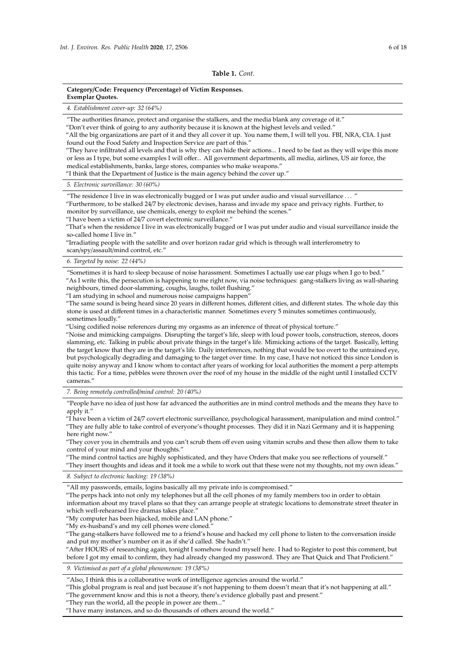## **Table 1.** *Cont.*

#### **Category**/**Code: Frequency (Percentage) of Victim Responses. Exemplar Quotes.**

*4. Establishment cover-up: 32 (64%)*

"The authorities finance, protect and organise the stalkers, and the media blank any coverage of it."

"Don't ever think of going to any authority because it is known at the highest levels and veiled."

"All the big organizations are part of it and they all cover it up. You name them, I will tell you. FBI, NRA, CIA. I just found out the Food Safety and Inspection Service are part of this."

"They have infiltrated all levels and that is why they can hide their actions... I need to be fast as they will wipe this more or less as I type, but some examples I will offer... All government departments, all media, airlines, US air force, the medical establishments, banks, large stores, companies who make weapons."

"I think that the Department of Justice is the main agency behind the cover up."

#### *5. Electronic surveillance: 30 (60%)*

"The residence I live in was electronically bugged or I was put under audio and visual surveillance  $\dots$ 

"Furthermore, to be stalked 24/7 by electronic devises, harass and invade my space and privacy rights. Further, to monitor by surveillance, use chemicals, energy to exploit me behind the scenes."

"I have been a victim of 24/7 covert electronic surveillance."

"That's when the residence I live in was electronically bugged or I was put under audio and visual surveillance inside the so-called home I live in."

"Irradiating people with the satellite and over horizon radar grid which is through wall interferometry to scan/spy/assault/mind control, etc."

## *6. Targeted by noise: 22 (44%)*

"Sometimes it is hard to sleep because of noise harassment. Sometimes I actually use ear plugs when I go to bed." "As I write this, the persecution is happening to me right now, via noise techniques: gang-stalkers living as wall-sharing neighbours, timed door-slamming, coughs, laughs, toilet flushing."

"I am studying in school and numerous noise campaigns happen"

"The same sound is being heard since 20 years in different homes, different cities, and different states. The whole day this stone is used at different times in a characteristic manner. Sometimes every 5 minutes sometimes continuously, sometimes loudly."

"Using codified noise references during my orgasms as an inference of threat of physical torture."

"Noise and mimicking campaigns. Disrupting the target's life, sleep with loud power tools, construction, stereos, doors slamming, etc. Talking in public about private things in the target's life. Mimicking actions of the target. Basically, letting the target know that they are in the target's life. Daily interferences, nothing that would be too overt to the untrained eye, but psychologically degrading and damaging to the target over time. In my case, I have not noticed this since London is quite noisy anyway and I know whom to contact after years of working for local authorities the moment a perp attempts this tactic. For a time, pebbles were thrown over the roof of my house in the middle of the night until I installed CCTV cameras."

*7. Being remotely controlled*/*mind control: 20 (40%)*

"People have no idea of just how far advanced the authorities are in mind control methods and the means they have to apply it."

"I have been a victim of 24/7 covert electronic surveillance, psychological harassment, manipulation and mind control." "They are fully able to take control of everyone's thought processes. They did it in Nazi Germany and it is happening here right now."

"They cover you in chemtrails and you can't scrub them off even using vitamin scrubs and these then allow them to take control of your mind and your thoughts."

"The mind control tactics are highly sophisticated, and they have Orders that make you see reflections of yourself." "They insert thoughts and ideas and it took me a while to work out that these were not my thoughts, not my own ideas."

*8. Subject to electronic hacking: 19 (38%)*

"All my passwords, emails, logins basically all my private info is compromised."

"The perps hack into not only my telephones but all the cell phones of my family members too in order to obtain information about my travel plans so that they can arrange people at strategic locations to demonstrate street theater in which well-rehearsed live dramas takes place."

"My computer has been hijacked, mobile and LAN phone."

"My ex-husband's and my cell phones were cloned."

"The gang-stalkers have followed me to a friend's house and hacked my cell phone to listen to the conversation inside and put my mother's number on it as if she'd called. She hadn't."

"After HOURS of researching again, tonight I somehow found myself here. I had to Register to post this comment, but before I got my email to confirm, they had already changed my password. They are That Quick and That Proficient."

*9. Victimised as part of a global phenomenon: 19 (38%)*

"Also, I think this is a collaborative work of intelligence agencies around the world."

"This global program is real and just because it's not happening to them doesn't mean that it's not happening at all."

"The government know and this is not a theory, there's evidence globally past and present."

"They run the world, all the people in power are them..."

"I have many instances, and so do thousands of others around the world."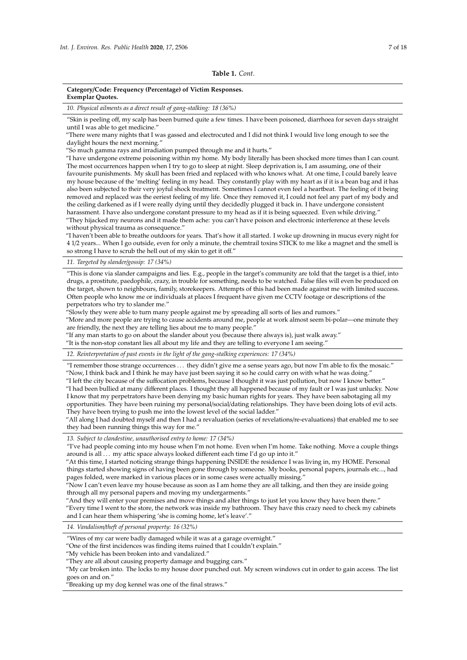## **Table 1.** *Cont.*

#### **Category**/**Code: Frequency (Percentage) of Victim Responses. Exemplar Quotes.**

*10. Physical ailments as a direct result of gang-stalking: 18 (36%)*

"Skin is peeling off, my scalp has been burned quite a few times. I have been poisoned, diarrhoea for seven days straight until I was able to get medicine."

"There were many nights that I was gassed and electrocuted and I did not think I would live long enough to see the daylight hours the next morning."

"So much gamma rays and irradiation pumped through me and it hurts."

"I have undergone extreme poisoning within my home. My body literally has been shocked more times than I can count. The most occurrences happen when I try to go to sleep at night. Sleep deprivation is, I am assuming, one of their favourite punishments. My skull has been fried and replaced with who knows what. At one time, I could barely leave my house because of the 'melting' feeling in my head. They constantly play with my heart as if it is a bean bag and it has also been subjected to their very joyful shock treatment. Sometimes I cannot even feel a heartbeat. The feeling of it being removed and replaced was the eeriest feeling of my life. Once they removed it, I could not feel any part of my body and the ceiling darkened as if I were really dying until they decidedly plugged it back in. I have undergone consistent harassment. I have also undergone constant pressure to my head as if it is being squeezed. Even while driving." "They hijacked my neurons and it made them ache: you can't have poison and electronic interference at these levels without physical trauma as consequence."

"I haven't been able to breathe outdoors for years. That's how it all started. I woke up drowning in mucus every night for 4 1/2 years... When I go outside, even for only a minute, the chemtrail toxins STICK to me like a magnet and the smell is so strong I have to scrub the hell out of my skin to get it off."

*11. Targeted by slander*/*gossip: 17 (34%)*

"This is done via slander campaigns and lies. E.g., people in the target's community are told that the target is a thief, into drugs, a prostitute, paedophile, crazy, in trouble for something, needs to be watched. False files will even be produced on the target, shown to neighbours, family, storekeepers. Attempts of this had been made against me with limited success. Often people who know me or individuals at places I frequent have given me CCTV footage or descriptions of the perpetrators who try to slander me."

"Slowly they were able to turn many people against me by spreading all sorts of lies and rumors."

"More and more people are trying to cause accidents around me, people at work almost seem bi-polar—one minute they are friendly, the next they are telling lies about me to many people."

"If any man starts to go on about the slander about you (because there always is), just walk away."

"It is the non-stop constant lies all about my life and they are telling to everyone I am seeing."

*12. Reinterpretation of past events in the light of the gang-stalking experiences: 17 (34%)*

"I remember those strange occurrences . . . they didn't give me a sense years ago, but now I'm able to fix the mosaic." "Now, I think back and I think he may have just been saying it so he could carry on with what he was doing." "I left the city because of the suffocation problems, because I thought it was just pollution, but now I know better." "I had been bullied at many different places. I thought they all happened because of my fault or I was just unlucky. Now I know that my perpetrators have been denying my basic human rights for years. They have been sabotaging all my opportunities. They have been ruining my personal/social/dating relationships. They have been doing lots of evil acts. They have been trying to push me into the lowest level of the social ladder."

"All along I had doubted myself and then I had a revaluation (series of revelations/re-evaluations) that enabled me to see they had been running things this way for me."

*13. Subject to clandestine, unauthorised entry to home: 17 (34%)*

"I've had people coming into my house when I'm not home. Even when I'm home. Take nothing. Move a couple things around is all ... my attic space always looked different each time I'd go up into it."

"At this time, I started noticing strange things happening INSIDE the residence I was living in, my HOME. Personal things started showing signs of having been gone through by someone. My books, personal papers, journals etc..., had pages folded, were marked in various places or in some cases were actually missing."

"Now I can't even leave my house because as soon as I am home they are all talking, and then they are inside going through all my personal papers and moving my undergarments."

"And they will enter your premises and move things and alter things to just let you know they have been there." "Every time I went to the store, the network was inside my bathroom. They have this crazy need to check my cabinets and I can hear them whispering 'she is coming home, let's leave'."

*14. Vandalism*/*theft of personal property: 16 (32%)*

"Wires of my car were badly damaged while it was at a garage overnight."

"One of the first incidences was finding items ruined that I couldn't explain."

"My vehicle has been broken into and vandalized."

"They are all about causing property damage and bugging cars."

"My car broken into. The locks to my house door punched out. My screen windows cut in order to gain access. The list goes on and on."

"Breaking up my dog kennel was one of the final straws."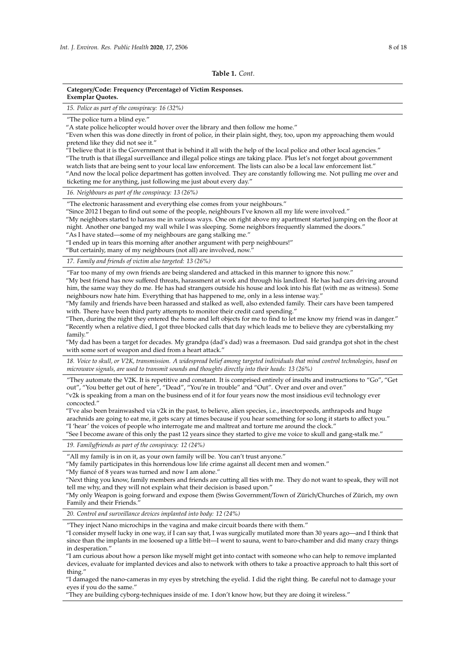## **Table 1.** *Cont.*

#### **Category**/**Code: Frequency (Percentage) of Victim Responses. Exemplar Quotes.**

*15. Police as part of the conspiracy: 16 (32%)*

"The police turn a blind eye."

"A state police helicopter would hover over the library and then follow me home."

"Even when this was done directly in front of police, in their plain sight, they, too, upon my approaching them would pretend like they did not see it."

"I believe that it is the Government that is behind it all with the help of the local police and other local agencies." "The truth is that illegal surveillance and illegal police stings are taking place. Plus let's not forget about government

watch lists that are being sent to your local law enforcement. The lists can also be a local law enforcement list."

"And now the local police department has gotten involved. They are constantly following me. Not pulling me over and ticketing me for anything, just following me just about every day."

*16. Neighbours as part of the conspiracy: 13 (26%)*

"The electronic harassment and everything else comes from your neighbours."

"Since 2012 I began to find out some of the people, neighbours I've known all my life were involved."

"My neighbors started to harass me in various ways. One on right above my apartment started jumping on the floor at night. Another one banged my wall while I was sleeping. Some neighbors frequently slammed the doors."

"As I have stated—some of my neighbours are gang stalking me."

"I ended up in tears this morning after another argument with perp neighbours!"

"But certainly, many of my neighbours (not all) are involved, now."

*17. Family and friends of victim also targeted: 13 (26%)*

"Far too many of my own friends are being slandered and attacked in this manner to ignore this now."

"My best friend has now suffered threats, harassment at work and through his landlord. He has had cars driving around him, the same way they do me. He has had strangers outside his house and look into his flat (with me as witness). Some neighbours now hate him. Everything that has happened to me, only in a less intense way."

"My family and friends have been harassed and stalked as well, also extended family. Their cars have been tampered with. There have been third party attempts to monitor their credit card spending."

"Then, during the night they entered the home and left objects for me to find to let me know my friend was in danger." "Recently when a relative died, I got three blocked calls that day which leads me to believe they are cyberstalking my family."

"My dad has been a target for decades. My grandpa (dad's dad) was a freemason. Dad said grandpa got shot in the chest with some sort of weapon and died from a heart attack."

*18. Voice to skull, or V2K, transmission. A widespread belief among targeted individuals that mind control technologies, based on microwave signals, are used to transmit sounds and thoughts directly into their heads: 13 (26%)*

"They automate the V2K. It is repetitive and constant. It is comprised entirely of insults and instructions to "Go", "Get out", "You better get out of here", "Dead", "You're in trouble" and "Out". Over and over and over." "v2k is speaking from a man on the business end of it for four years now the most insidious evil technology ever

concocted." "I've also been brainwashed via v2k in the past, to believe, alien species, i.e., insectorpeeds, anthrapods and huge

arachnids are going to eat me, it gets scary at times because if you hear something for so long it starts to affect you." "I 'hear' the voices of people who interrogate me and maltreat and torture me around the clock."

"See I become aware of this only the past 12 years since they started to give me voice to skull and gang-stalk me."

*19. Family*/*friends as part of the conspiracy: 12 (24%)*

"All my family is in on it, as your own family will be. You can't trust anyone."

"My family participates in this horrendous low life crime against all decent men and women."

"My fiancé of 8 years was turned and now I am alone."

"Next thing you know, family members and friends are cutting all ties with me. They do not want to speak, they will not tell me why, and they will not explain what their decision is based upon."

"My only Weapon is going forward and expose them (Swiss Government/Town of Zürich/Churches of Zürich, my own Family and their Friends."

*20. Control and surveillance devices implanted into body: 12 (24%)*

"They inject Nano microchips in the vagina and make circuit boards there with them."

"I consider myself lucky in one way, if I can say that, I was surgically mutilated more than 30 years ago—and I think that since than the implants in me loosened up a little bit—I went to sauna, went to baro-chamber and did many crazy things in desperation."

"I am curious about how a person like myself might get into contact with someone who can help to remove implanted devices, evaluate for implanted devices and also to network with others to take a proactive approach to halt this sort of thing."

"I damaged the nano-cameras in my eyes by stretching the eyelid. I did the right thing. Be careful not to damage your eyes if you do the same."

"They are building cyborg-techniques inside of me. I don't know how, but they are doing it wireless."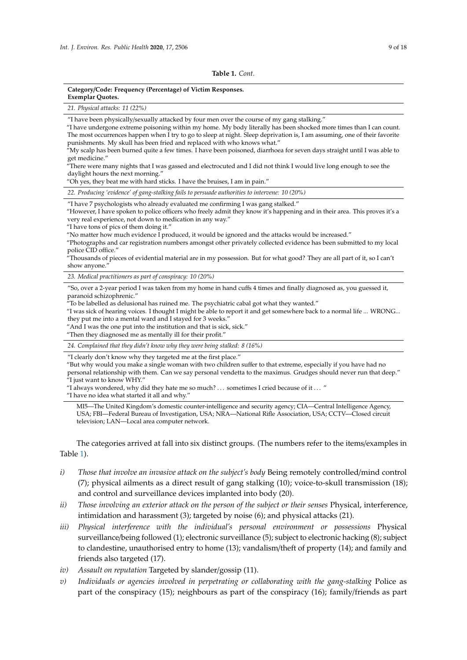#### <span id="page-8-0"></span>**Category**/**Code: Frequency (Percentage) of Victim Responses. Exemplar Quotes.**

*21. Physical attacks: 11 (22%)*

"I have been physically/sexually attacked by four men over the course of my gang stalking."

"I have undergone extreme poisoning within my home. My body literally has been shocked more times than I can count. The most occurrences happen when I try to go to sleep at night. Sleep deprivation is, I am assuming, one of their favorite punishments. My skull has been fried and replaced with who knows what."

"My scalp has been burned quite a few times. I have been poisoned, diarrhoea for seven days straight until I was able to get medicine."

"There were many nights that I was gassed and electrocuted and I did not think I would live long enough to see the daylight hours the next morning."

"Oh yes, they beat me with hard sticks. I have the bruises, I am in pain."

*22. Producing 'evidence' of gang-stalking fails to persuade authorities to intervene: 10 (20%)*

"I have 7 psychologists who already evaluated me confirming I was gang stalked."

"However, I have spoken to police officers who freely admit they know it's happening and in their area. This proves it's a very real experience, not down to medication in any way."

"I have tons of pics of them doing it."

"No matter how much evidence I produced, it would be ignored and the attacks would be increased."

"Photographs and car registration numbers amongst other privately collected evidence has been submitted to my local police CID office."

"Thousands of pieces of evidential material are in my possession. But for what good? They are all part of it, so I can't show anyone."

*23. Medical practitioners as part of conspiracy: 10 (20%)*

"So, over a 2-year period I was taken from my home in hand cuffs 4 times and finally diagnosed as, you guessed it, paranoid schizophrenic."

.<br>"To be labelled as delusional has ruined me. The psychiatric cabal got what they wanted."

"I was sick of hearing voices. I thought I might be able to report it and get somewhere back to a normal life ... WRONG... they put me into a mental ward and I stayed for 3 weeks."

"And I was the one put into the institution and that is sick, sick."

"Then they diagnosed me as mentally ill for their profit."

*24. Complained that they didn't know why they were being stalked: 8 (16%)*

"I clearly don't know why they targeted me at the first place."

"But why would you make a single woman with two children suffer to that extreme, especially if you have had no personal relationship with them. Can we say personal vendetta to the maximus. Grudges should never run that deep." "I just want to know WHY."

"I always wondered, why did they hate me so much?  $\dots$  sometimes I cried because of it  $\dots$  "

"I have no idea what started it all and why."

MI5—The United Kingdom's domestic counter-intelligence and security agency; CIA—Central Intelligence Agency, USA; FBI—Federal Bureau of Investigation, USA; NRA—National Rifle Association, USA; CCTV—Closed circuit television; LAN—Local area computer network.

The categories arrived at fall into six distinct groups. (The numbers refer to the items/examples in Table [1\)](#page-8-0).

- *i) Those that involve an invasive attack on the subject's body* Being remotely controlled/mind control (7); physical ailments as a direct result of gang stalking (10); voice-to-skull transmission (18); and control and surveillance devices implanted into body (20).
- *ii) Those involving an exterior attack on the person of the subject or their senses* Physical, interference, intimidation and harassment (3); targeted by noise (6); and physical attacks (21).
- *iii) Physical interference with the individual's personal environment or possessions* Physical surveillance/being followed (1); electronic surveillance (5); subject to electronic hacking (8); subject to clandestine, unauthorised entry to home (13); vandalism/theft of property (14); and family and friends also targeted (17).
- *iv) Assault on reputation* Targeted by slander/gossip (11).
- *v) Individuals or agencies involved in perpetrating or collaborating with the gang-stalking* Police as part of the conspiracy (15); neighbours as part of the conspiracy (16); family/friends as part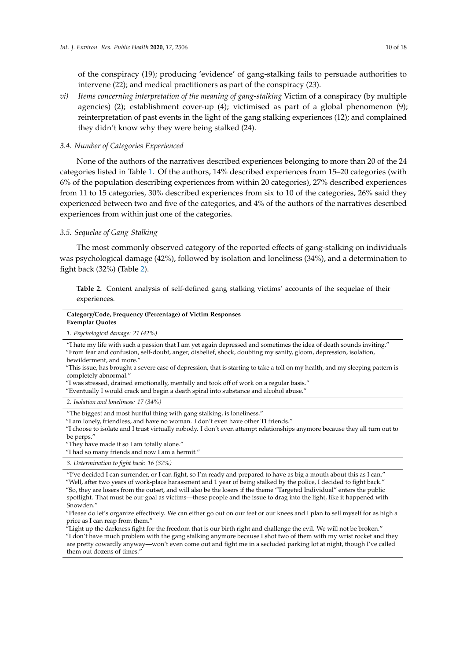of the conspiracy (19); producing 'evidence' of gang-stalking fails to persuade authorities to intervene (22); and medical practitioners as part of the conspiracy (23).

*vi) Items concerning interpretation of the meaning of gang-stalking* Victim of a conspiracy (by multiple agencies) (2); establishment cover-up (4); victimised as part of a global phenomenon (9); reinterpretation of past events in the light of the gang stalking experiences (12); and complained they didn't know why they were being stalked (24).

## *3.4. Number of Categories Experienced*

None of the authors of the narratives described experiences belonging to more than 20 of the 24 categories listed in Table [1.](#page-8-0) Of the authors, 14% described experiences from 15–20 categories (with 6% of the population describing experiences from within 20 categories), 27% described experiences from 11 to 15 categories, 30% described experiences from six to 10 of the categories, 26% said they experienced between two and five of the categories, and 4% of the authors of the narratives described experiences from within just one of the categories.

#### *3.5. Sequelae of Gang-Stalking*

The most commonly observed category of the reported effects of gang-stalking on individuals was psychological damage (42%), followed by isolation and loneliness (34%), and a determination to fight back (32%) (Table [2\)](#page-11-0).

**Table 2.** Content analysis of self-defined gang stalking victims' accounts of the sequelae of their experiences.

| Category/Code, Frequency (Percentage) of Victim Responses<br><b>Exemplar Quotes</b>                                                                                                                                                                                                                                                                                                                                                                                                                                                                                                                                 |
|---------------------------------------------------------------------------------------------------------------------------------------------------------------------------------------------------------------------------------------------------------------------------------------------------------------------------------------------------------------------------------------------------------------------------------------------------------------------------------------------------------------------------------------------------------------------------------------------------------------------|
| 1. Psychological damage: 21 (42%)                                                                                                                                                                                                                                                                                                                                                                                                                                                                                                                                                                                   |
| "I hate my life with such a passion that I am yet again depressed and sometimes the idea of death sounds inviting."<br>"From fear and confusion, self-doubt, anger, disbelief, shock, doubting my sanity, gloom, depression, isolation,<br>bewilderment, and more."<br>"This issue, has brought a severe case of depression, that is starting to take a toll on my health, and my sleeping pattern is<br>completely abnormal."<br>"I was stressed, drained emotionally, mentally and took off of work on a regular basis."<br>"Eventually I would crack and begin a death spiral into substance and alcohol abuse." |
| 2. Isolation and loneliness: 17 (34%)                                                                                                                                                                                                                                                                                                                                                                                                                                                                                                                                                                               |
| "The biggest and most hurtful thing with gang stalking, is loneliness."<br>"I am lonely, friendless, and have no woman. I don't even have other TI friends."<br>"I choose to isolate and I trust virtually nobody. I don't even attempt relationships anymore because they all turn out to<br>be perps."<br>"They have made it so I am totally alone."<br>"I had so many friends and now I am a hermit."                                                                                                                                                                                                            |
| 3. Determination to fight back: 16 (32%)                                                                                                                                                                                                                                                                                                                                                                                                                                                                                                                                                                            |
| "I've decided I can surrender, or I can fight, so I'm ready and prepared to have as big a mouth about this as I can."<br>"Well, after two years of work-place harassment and 1 year of being stalked by the police, I decided to fight back."<br>"So, they are losers from the outset, and will also be the losers if the theme "Targeted Individual" enters the public<br>spotlight. That must be our goal as victims—these people and the issue to drag into the light, like it happened with<br>Snowden."                                                                                                        |

"Please do let's organize effectively. We can either go out on our feet or our knees and I plan to sell myself for as high a price as I can reap from them."

"Light up the darkness fight for the freedom that is our birth right and challenge the evil. We will not be broken." "I don't have much problem with the gang stalking anymore because I shot two of them with my wrist rocket and they are pretty cowardly anyway—won't even come out and fight me in a secluded parking lot at night, though I've called them out dozens of times."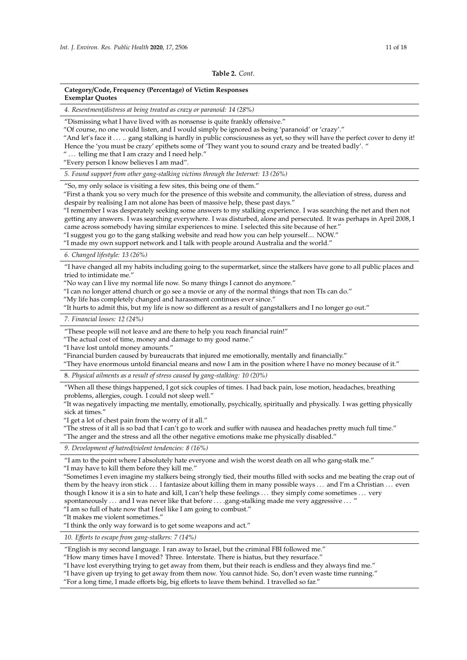#### **Table 2.** *Cont.*

#### **Category**/**Code, Frequency (Percentage) of Victim Responses Exemplar Quotes**

*4. Resentment*/*distress at being treated as crazy or paranoid: 14 (28%)*

"Dismissing what I have lived with as nonsense is quite frankly offensive."

"Of course, no one would listen, and I would simply be ignored as being 'paranoid' or 'crazy'."

"And let's face it . . . . gang stalking is hardly in public consciousness as yet, so they will have the perfect cover to deny it!

Hence the 'you must be crazy' epithets some of 'They want you to sound crazy and be treated badly'. "

" . . . telling me that I am crazy and I need help."

"Every person I know believes I am mad".

*5. Found support from other gang-stalking victims through the Internet: 13 (26%)*

"So, my only solace is visiting a few sites, this being one of them."

"First a thank you so very much for the presence of this website and community, the alleviation of stress, duress and despair by realising I am not alone has been of massive help, these past days."

"I remember I was desperately seeking some answers to my stalking experience. I was searching the net and then not getting any answers. I was searching everywhere. I was disturbed, alone and persecuted. It was perhaps in April 2008, I came across somebody having similar experiences to mine. I selected this site because of her."

"I suggest you go to the gang stalking website and read how you can help yourself.... NOW."

"I made my own support network and I talk with people around Australia and the world."

*6. Changed lifestyle: 13 (26%)*

"I have changed all my habits including going to the supermarket, since the stalkers have gone to all public places and tried to intimidate me."

"No way can I live my normal life now. So many things I cannot do anymore."

"I can no longer attend church or go see a movie or any of the normal things that non TIs can do."

"My life has completely changed and harassment continues ever since."

"It hurts to admit this, but my life is now so different as a result of gangstalkers and I no longer go out."

*7. Financial losses: 12 (24%)*

"These people will not leave and are there to help you reach financial ruin!"

"The actual cost of time, money and damage to my good name."

"I have lost untold money amounts."

"Financial burden caused by bureaucrats that injured me emotionally, mentally and financially."

"They have enormous untold financial means and now I am in the position where I have no money because of it."

8. *Physical ailments as a result of stress caused by gang-stalking: 10 (20%)*

"When all these things happened, I got sick couples of times. I had back pain, lose motion, headaches, breathing problems, allergies, cough. I could not sleep well."

"It was negatively impacting me mentally, emotionally, psychically, spiritually and physically. I was getting physically sick at times."

"I get a lot of chest pain from the worry of it all."

"The stress of it all is so bad that I can't go to work and suffer with nausea and headaches pretty much full time."

"The anger and the stress and all the other negative emotions make me physically disabled."

*9. Development of hatred*/*violent tendencies: 8 (16%)*

"I am to the point where I absolutely hate everyone and wish the worst death on all who gang-stalk me."

"I may have to kill them before they kill me."

"Sometimes I even imagine my stalkers being strongly tied, their mouths filled with socks and me beating the crap out of them by the heavy iron stick ... I fantasize about killing them in many possible ways ... and I'm a Christian ... even though I know it is a sin to hate and kill, I can't help these feelings . . . they simply come sometimes . . . very spontaneously ... and I was never like that before ... .gang-stalking made me very aggressive ... '

"I am so full of hate now that I feel like I am going to combust."

"It makes me violent sometimes."

"I think the only way forward is to get some weapons and act."

*10. E*ff*orts to escape from gang-stalkers: 7 (14%)*

"English is my second language. I ran away to Israel, but the criminal FBI followed me."

"How many times have I moved? Three. Interstate. There is hiatus, but they resurface."

"I have lost everything trying to get away from them, but their reach is endless and they always find me."

"I have given up trying to get away from them now. You cannot hide. So, don't even waste time running."

"For a long time, I made efforts big, big efforts to leave them behind. I travelled so far."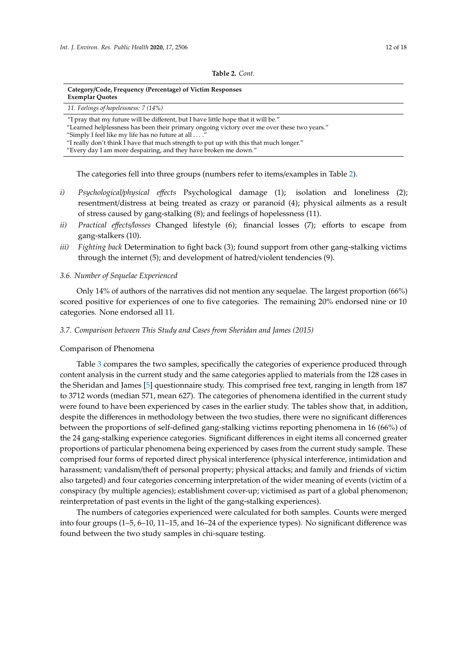**Table 2.** *Cont.*

<span id="page-11-0"></span>

| Category/Code, Frequency (Percentage) of Victim Responses |  |
|-----------------------------------------------------------|--|
| <b>Exemplar Quotes</b>                                    |  |

| 11. Feelings of hopelessness: 7 (14%)                                                       |
|---------------------------------------------------------------------------------------------|
| "I pray that my future will be different, but I have little hope that it will be."          |
| "Learned helplessness has been their primary ongoing victory over me over these two years." |
| "Simply I feel like my life has no future at all "                                          |
| "I really don't think I have that much strength to put up with this that much longer."      |
| "Every day I am more despairing, and they have broken me down."                             |

The categories fell into three groups (numbers refer to items/examples in Table [2\)](#page-11-0).

- *i) Psychological*/*physical e*ff*ects* Psychological damage (1); isolation and loneliness (2); resentment/distress at being treated as crazy or paranoid (4); physical ailments as a result of stress caused by gang-stalking (8); and feelings of hopelessness (11).
- *ii) Practical e*ff*ects*/*losses* Changed lifestyle (6); financial losses (7); efforts to escape from gang-stalkers (10).
- *iii) Fighting back* Determination to fight back (3); found support from other gang-stalking victims through the internet (5); and development of hatred/violent tendencies (9).

## *3.6. Number of Sequelae Experienced*

Only 14% of authors of the narratives did not mention any sequelae. The largest proportion (66%) scored positive for experiences of one to five categories. The remaining 20% endorsed nine or 10 categories. None endorsed all 11.

## *3.7. Comparison between This Study and Cases from Sheridan and James (2015)*

#### Comparison of Phenomena

Table [3](#page-12-0) compares the two samples, specifically the categories of experience produced through content analysis in the current study and the same categories applied to materials from the 128 cases in the Sheridan and James [\[5\]](#page-15-4) questionnaire study. This comprised free text, ranging in length from 187 to 3712 words (median 571, mean 627). The categories of phenomena identified in the current study were found to have been experienced by cases in the earlier study. The tables show that, in addition, despite the differences in methodology between the two studies, there were no significant differences between the proportions of self-defined gang-stalking victims reporting phenomena in 16 (66%) of the 24 gang-stalking experience categories. Significant differences in eight items all concerned greater proportions of particular phenomena being experienced by cases from the current study sample. These comprised four forms of reported direct physical interference (physical interference, intimidation and harassment; vandalism/theft of personal property; physical attacks; and family and friends of victim also targeted) and four categories concerning interpretation of the wider meaning of events (victim of a conspiracy (by multiple agencies); establishment cover-up; victimised as part of a global phenomenon; reinterpretation of past events in the light of the gang-stalking experiences).

The numbers of categories experienced were calculated for both samples. Counts were merged into four groups (1–5, 6–10, 11–15, and 16–24 of the experience types). No significant difference was found between the two study samples in chi-square testing.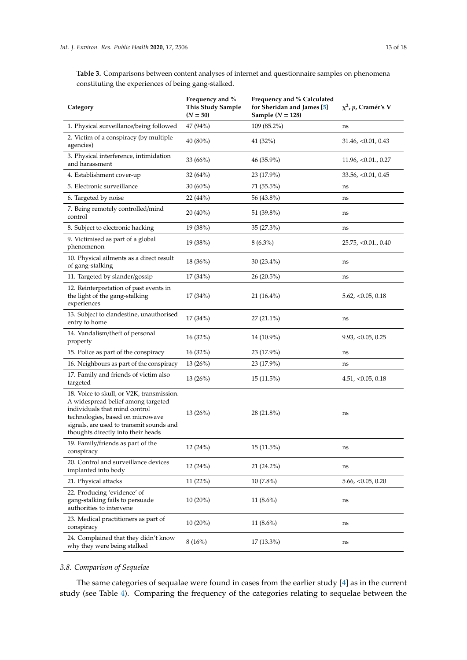| Category                                                                                                                                                                                                                               | Frequency and %<br>This Study Sample<br>$(N = 50)$ | Frequency and % Calculated<br>for Sheridan and James [5]<br>Sample $(N = 128)$ | $\chi^2$ , p, Cramér's V  |
|----------------------------------------------------------------------------------------------------------------------------------------------------------------------------------------------------------------------------------------|----------------------------------------------------|--------------------------------------------------------------------------------|---------------------------|
| 1. Physical surveillance/being followed                                                                                                                                                                                                | 47 (94%)                                           | $109(85.2\%)$                                                                  | ns                        |
| 2. Victim of a conspiracy (by multiple<br>agencies)                                                                                                                                                                                    | 40 (80%)                                           | 41 (32%)                                                                       | $31.46$ , $< 0.01$ , 0.43 |
| 3. Physical interference, intimidation<br>and harassment                                                                                                                                                                               | 33 (66%)                                           | $46(35.9\%)$                                                                   | $11.96$ , < 0.01., 0.27   |
| 4. Establishment cover-up                                                                                                                                                                                                              | 32(64%)                                            | 23 (17.9%)                                                                     | $33.56$ , < 0.01, 0.45    |
| 5. Electronic surveillance                                                                                                                                                                                                             | $30(60\%)$                                         | 71 (55.5%)                                                                     | ns                        |
| 6. Targeted by noise                                                                                                                                                                                                                   | 22(44%)                                            | 56 (43.8%)                                                                     | ns                        |
| 7. Being remotely controlled/mind<br>control                                                                                                                                                                                           | $20(40\%)$                                         | 51 (39.8%)                                                                     | ns                        |
| 8. Subject to electronic hacking                                                                                                                                                                                                       | 19 (38%)                                           | 35(27.3%)                                                                      | ns                        |
| 9. Victimised as part of a global<br>phenomenon                                                                                                                                                                                        | 19(38%)                                            | $8(6.3\%)$                                                                     | 25.75, <0.01, 0.40        |
| 10. Physical ailments as a direct result<br>of gang-stalking                                                                                                                                                                           | $18(36\%)$                                         | $30(23.4\%)$                                                                   | ns                        |
| 11. Targeted by slander/gossip                                                                                                                                                                                                         | 17(34%)                                            | $26(20.5\%)$                                                                   | ns                        |
| 12. Reinterpretation of past events in<br>the light of the gang-stalking<br>experiences                                                                                                                                                | 17(34%)                                            | $21(16.4\%)$                                                                   | 5.62, <0.05, 0.18         |
| 13. Subject to clandestine, unauthorised<br>entry to home                                                                                                                                                                              | 17(34%)                                            | $27(21.1\%)$                                                                   | ns                        |
| 14. Vandalism/theft of personal<br>property                                                                                                                                                                                            | 16 (32%)                                           | 14 (10.9%)                                                                     | 9.93, < 0.05, 0.25        |
| 15. Police as part of the conspiracy                                                                                                                                                                                                   | 16(32%)                                            | 23 (17.9%)                                                                     | ns                        |
| 16. Neighbours as part of the conspiracy                                                                                                                                                                                               | 13(26%)                                            | 23 (17.9%)                                                                     | ns                        |
| 17. Family and friends of victim also<br>targeted                                                                                                                                                                                      | 13(26%)                                            | $15(11.5\%)$                                                                   | 4.51, < 0.05, 0.18        |
| 18. Voice to skull, or V2K, transmission.<br>A widespread belief among targeted<br>individuals that mind control<br>technologies, based on microwave<br>signals, are used to transmit sounds and<br>thoughts directly into their heads | 13(26%)                                            | 28 (21.8%)                                                                     | ns                        |
| 19. Family/friends as part of the<br>conspiracy                                                                                                                                                                                        | 12(24%)                                            | $15(11.5\%)$                                                                   | ns                        |
| 20. Control and surveillance devices<br>implanted into body                                                                                                                                                                            | 12(24%)                                            | $21(24.2\%)$                                                                   | ns                        |
| 21. Physical attacks                                                                                                                                                                                                                   | 11(22%)                                            | $10(7.8\%)$                                                                    | 5.66, <0.05, 0.20         |
| 22. Producing 'evidence' of                                                                                                                                                                                                            |                                                    |                                                                                |                           |

<span id="page-12-0"></span>**Table 3.** Comparisons between content analyses of internet and questionnaire samples on phenomena constituting the experiences of being gang-stalked.

## *3.8. Comparison of Sequelae*

gang-stalking fails to persuade authorities to intervene

23. Medical practitioners as part of

24. Complained that they didn't know

The same categories of sequalae were found in cases from the earlier study [\[4\]](#page-15-3) as in the current study (see Table [4\)](#page-13-0). Comparing the frequency of the categories relating to sequelae between the

 $20.$  Medical practitioners as part of  $10 (20%)$   $11 (8.6%)$  ns

24. Complained that they didn't know  $8(16\%)$  17 (13.3%) ns why they were being stalked

10 (20%) 11 (8.6%) ns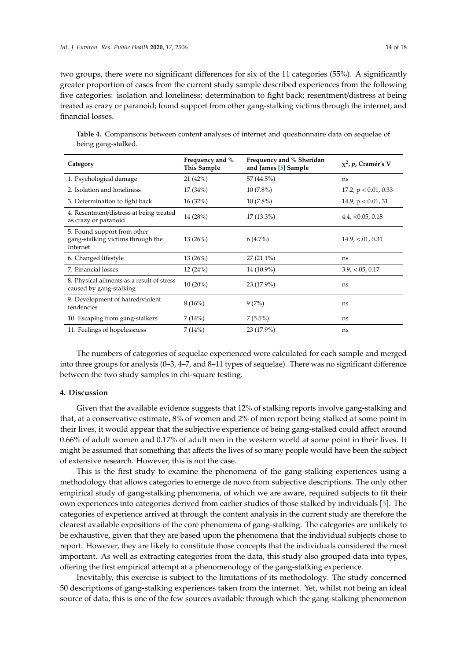two groups, there were no significant differences for six of the 11 categories (55%). A significantly greater proportion of cases from the current study sample described experiences from the following five categories: isolation and loneliness; determination to fight back; resentment/distress at being treated as crazy or paranoid; found support from other gang-stalking victims through the internet; and financial losses.

<span id="page-13-0"></span>

| Table 4. Comparisons between content analyses of internet and questionnaire data on sequelae of |  |  |  |
|-------------------------------------------------------------------------------------------------|--|--|--|
| being gang-stalked.                                                                             |  |  |  |

| Category                                                                     | Frequency and %<br>This Sample | Frequency and % Sheridan<br>and James [5] Sample | $\chi^2$ , p, Cramér's V   |
|------------------------------------------------------------------------------|--------------------------------|--------------------------------------------------|----------------------------|
| 1. Psychological damage                                                      | 21(42%)                        | 57 (44.5%)                                       | ns                         |
| 2. Isolation and loneliness                                                  | 17(34%)                        | $10(7.8\%)$                                      | $17.2$ , $p < 0.01$ , 0.33 |
| 3. Determination to fight back                                               | 16(32%)                        | $10(7.8\%)$                                      | $14.9$ , $p < 0.01$ , 31   |
| 4. Resentment/distress at being treated<br>as crazy or paranoid              | 14 (28%)                       | $17(13.3\%)$                                     | 4.4, <0.05, 0.18           |
| 5. Found support from other<br>gang-stalking victims through the<br>Internet | 13(26%)                        | $6(4.7\%)$                                       | 14.9, < 0.01, 0.31         |
| 6. Changed lifestyle                                                         | 13(26%)                        | $27(21.1\%)$                                     | ns                         |
| 7. Financial losses                                                          | 12(24%)                        | 14 (10.9%)                                       | 3.9, < 0.05, 0.17          |
| 8. Physical ailments as a result of stress<br>caused by gang-stalking        | $10(20\%)$                     | 23 (17.9%)                                       | ns                         |
| 9. Development of hatred/violent<br>tendencies                               | 8(16%)                         | 9(7%)                                            | ns                         |
| 10. Escaping from gang-stalkers                                              | 7(14%)                         | $7(5.5\%)$                                       | ns                         |
| 11. Feelings of hopelessness                                                 | 7(14%)                         | 23 (17.9%)                                       | ns                         |

The numbers of categories of sequelae experienced were calculated for each sample and merged into three groups for analysis (0–3, 4–7, and 8–11 types of sequelae). There was no significant difference between the two study samples in chi-square testing.

## **4. Discussion**

Given that the available evidence suggests that 12% of stalking reports involve gang-stalking and that, at a conservative estimate, 8% of women and 2% of men report being stalked at some point in their lives, it would appear that the subjective experience of being gang-stalked could affect around 0.66% of adult women and 0.17% of adult men in the western world at some point in their lives. It might be assumed that something that affects the lives of so many people would have been the subject of extensive research. However, this is not the case.

This is the first study to examine the phenomena of the gang-stalking experiences using a methodology that allows categories to emerge de novo from subjective descriptions. The only other empirical study of gang-stalking phenomena, of which we are aware, required subjects to fit their own experiences into categories derived from earlier studies of those stalked by individuals [\[5\]](#page-15-4). The categories of experience arrived at through the content analysis in the current study are therefore the clearest available expositions of the core phenomena of gang-stalking. The categories are unlikely to be exhaustive, given that they are based upon the phenomena that the individual subjects chose to report. However, they are likely to constitute those concepts that the individuals considered the most important. As well as extracting categories from the data, this study also grouped data into types, offering the first empirical attempt at a phenomenology of the gang-stalking experience.

Inevitably, this exercise is subject to the limitations of its methodology. The study concerned 50 descriptions of gang-stalking experiences taken from the internet. Yet, whilst not being an ideal source of data, this is one of the few sources available through which the gang-stalking phenomenon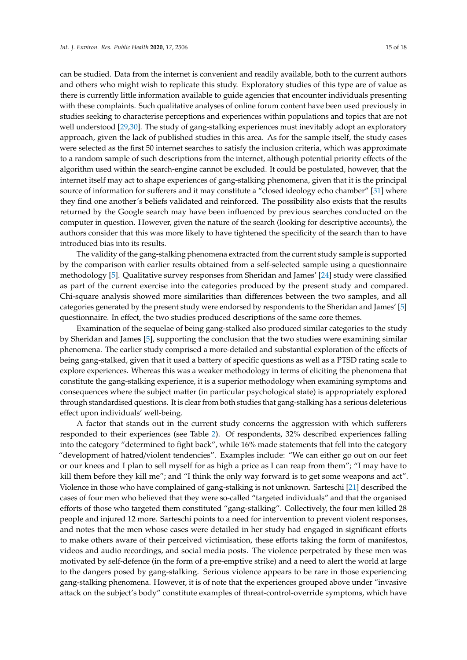can be studied. Data from the internet is convenient and readily available, both to the current authors and others who might wish to replicate this study. Exploratory studies of this type are of value as there is currently little information available to guide agencies that encounter individuals presenting with these complaints. Such qualitative analyses of online forum content have been used previously in studies seeking to characterise perceptions and experiences within populations and topics that are not well understood [\[29,](#page-16-14)[30\]](#page-16-15). The study of gang-stalking experiences must inevitably adopt an exploratory approach, given the lack of published studies in this area. As for the sample itself, the study cases were selected as the first 50 internet searches to satisfy the inclusion criteria, which was approximate to a random sample of such descriptions from the internet, although potential priority effects of the algorithm used within the search-engine cannot be excluded. It could be postulated, however, that the internet itself may act to shape experiences of gang-stalking phenomena, given that it is the principal source of information for sufferers and it may constitute a "closed ideology echo chamber" [\[31\]](#page-16-16) where they find one another's beliefs validated and reinforced. The possibility also exists that the results returned by the Google search may have been influenced by previous searches conducted on the computer in question. However, given the nature of the search (looking for descriptive accounts), the authors consider that this was more likely to have tightened the specificity of the search than to have introduced bias into its results.

The validity of the gang-stalking phenomena extracted from the current study sample is supported by the comparison with earlier results obtained from a self-selected sample using a questionnaire methodology [\[5\]](#page-15-4). Qualitative survey responses from Sheridan and James' [\[24\]](#page-16-9) study were classified as part of the current exercise into the categories produced by the present study and compared. Chi-square analysis showed more similarities than differences between the two samples, and all categories generated by the present study were endorsed by respondents to the Sheridan and James' [\[5\]](#page-15-4) questionnaire. In effect, the two studies produced descriptions of the same core themes.

Examination of the sequelae of being gang-stalked also produced similar categories to the study by Sheridan and James [\[5\]](#page-15-4), supporting the conclusion that the two studies were examining similar phenomena. The earlier study comprised a more-detailed and substantial exploration of the effects of being gang-stalked, given that it used a battery of specific questions as well as a PTSD rating scale to explore experiences. Whereas this was a weaker methodology in terms of eliciting the phenomena that constitute the gang-stalking experience, it is a superior methodology when examining symptoms and consequences where the subject matter (in particular psychological state) is appropriately explored through standardised questions. It is clear from both studies that gang-stalking has a serious deleterious effect upon individuals' well-being.

A factor that stands out in the current study concerns the aggression with which sufferers responded to their experiences (see Table [2\)](#page-11-0). Of respondents, 32% described experiences falling into the category "determined to fight back", while 16% made statements that fell into the category "development of hatred/violent tendencies". Examples include: "We can either go out on our feet or our knees and I plan to sell myself for as high a price as I can reap from them"; "I may have to kill them before they kill me"; and "I think the only way forward is to get some weapons and act". Violence in those who have complained of gang-stalking is not unknown. Sarteschi [\[21\]](#page-16-6) described the cases of four men who believed that they were so-called "targeted individuals" and that the organised efforts of those who targeted them constituted "gang-stalking". Collectively, the four men killed 28 people and injured 12 more. Sarteschi points to a need for intervention to prevent violent responses, and notes that the men whose cases were detailed in her study had engaged in significant efforts to make others aware of their perceived victimisation, these efforts taking the form of manifestos, videos and audio recordings, and social media posts. The violence perpetrated by these men was motivated by self-defence (in the form of a pre-emptive strike) and a need to alert the world at large to the dangers posed by gang-stalking. Serious violence appears to be rare in those experiencing gang-stalking phenomena. However, it is of note that the experiences grouped above under "invasive attack on the subject's body" constitute examples of threat-control-override symptoms, which have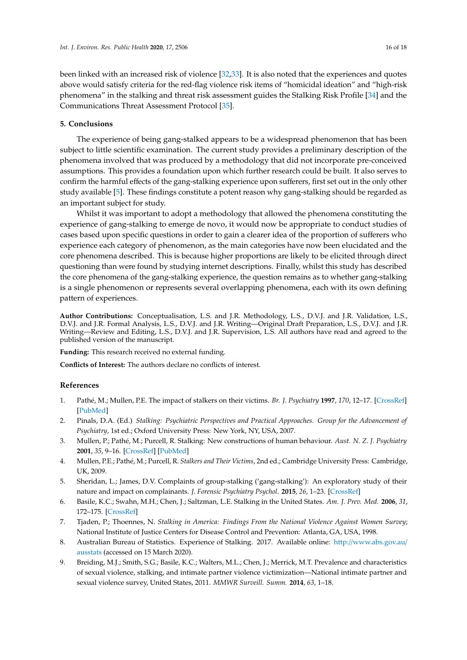been linked with an increased risk of violence [\[32,](#page-16-17)[33\]](#page-16-18). It is also noted that the experiences and quotes above would satisfy criteria for the red-flag violence risk items of "homicidal ideation" and "high-risk phenomena" in the stalking and threat risk assessment guides the Stalking Risk Profile [\[34\]](#page-17-0) and the Communications Threat Assessment Protocol [\[35\]](#page-17-1).

## **5. Conclusions**

The experience of being gang-stalked appears to be a widespread phenomenon that has been subject to little scientific examination. The current study provides a preliminary description of the phenomena involved that was produced by a methodology that did not incorporate pre-conceived assumptions. This provides a foundation upon which further research could be built. It also serves to confirm the harmful effects of the gang-stalking experience upon sufferers, first set out in the only other study available [\[5\]](#page-15-4). These findings constitute a potent reason why gang-stalking should be regarded as an important subject for study.

Whilst it was important to adopt a methodology that allowed the phenomena constituting the experience of gang-stalking to emerge de novo, it would now be appropriate to conduct studies of cases based upon specific questions in order to gain a clearer idea of the proportion of sufferers who experience each category of phenomenon, as the main categories have now been elucidated and the core phenomena described. This is because higher proportions are likely to be elicited through direct questioning than were found by studying internet descriptions. Finally, whilst this study has described the core phenomena of the gang-stalking experience, the question remains as to whether gang-stalking is a single phenomenon or represents several overlapping phenomena, each with its own defining pattern of experiences.

**Author Contributions:** Conceptualisation, L.S. and J.R. Methodology, L.S., D.V.J. and J.R. Validation, L.S., D.V.J. and J.R. Formal Analysis, L.S., D.V.J. and J.R. Writing—Original Draft Preparation, L.S., D.V.J. and J.R. Writing—Review and Editing, L.S., D.V.J. and J.R. Supervision, L.S. All authors have read and agreed to the published version of the manuscript.

**Funding:** This research received no external funding.

**Conflicts of Interest:** The authors declare no conflicts of interest.

## **References**

- <span id="page-15-0"></span>1. Pathé, M.; Mullen, P.E. The impact of stalkers on their victims. *Br. J. Psychiatry* **1997**, *170*, 12–17. [\[CrossRef\]](http://dx.doi.org/10.1192/bjp.170.1.12) [\[PubMed\]](http://www.ncbi.nlm.nih.gov/pubmed/9068768)
- <span id="page-15-1"></span>2. Pinals, D.A. (Ed.) *Stalking: Psychiatric Perspectives and Practical Approaches. Group for the Advancement of Psychiatry*, 1st ed.; Oxford University Press: New York, NY, USA, 2007.
- <span id="page-15-2"></span>3. Mullen, P.; Pathé, M.; Purcell, R. Stalking: New constructions of human behaviour. *Aust. N. Z. J. Psychiatry* **2001**, *35*, 9–16. [\[CrossRef\]](http://dx.doi.org/10.1046/j.1440-1614.2001.00849.x) [\[PubMed\]](http://www.ncbi.nlm.nih.gov/pubmed/11270463)
- <span id="page-15-3"></span>4. Mullen, P.E.; Pathé, M.; Purcell, R. *Stalkers and Their Victims*, 2nd ed.; Cambridge University Press: Cambridge, UK, 2009.
- <span id="page-15-4"></span>5. Sheridan, L.; James, D.V. Complaints of group-stalking ('gang-stalking'): An exploratory study of their nature and impact on complainants. *J. Forensic Psychiatry Psychol.* **2015**, *26*, 1–23. [\[CrossRef\]](http://dx.doi.org/10.1080/14789949.2015.1054857)
- <span id="page-15-5"></span>6. Basile, K.C.; Swahn, M.H.; Chen, J.; Saltzman, L.E. Stalking in the United States. *Am. J. Prev. Med.* **2006**, *31*, 172–175. [\[CrossRef\]](http://dx.doi.org/10.1016/j.amepre.2006.03.028)
- <span id="page-15-6"></span>7. Tjaden, P.; Thoennes, N. *Stalking in America: Findings From the National Violence Against Women Survey*; National Institute of Justice Centers for Disease Control and Prevention: Atlanta, GA, USA, 1998.
- <span id="page-15-7"></span>8. Australian Bureau of Statistics. Experience of Stalking. 2017. Available online: http://[www.abs.gov.au](http://www.abs.gov.au/ausstats)/ [ausstats](http://www.abs.gov.au/ausstats) (accessed on 15 March 2020).
- 9. Breiding, M.J.; Smith, S.G.; Basile, K.C.; Walters, M.L.; Chen, J.; Merrick, M.T. Prevalence and characteristics of sexual violence, stalking, and intimate partner violence victimization—National intimate partner and sexual violence survey, United States, 2011. *MMWR Surveill. Summ.* **2014**, *63*, 1–18.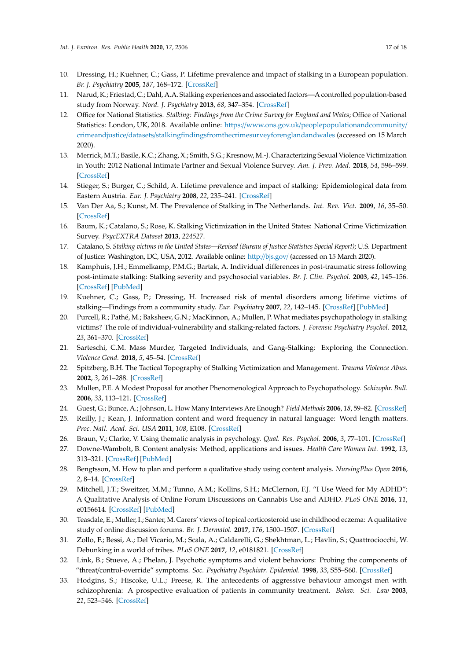- <span id="page-16-3"></span>10. Dressing, H.; Kuehner, C.; Gass, P. Lifetime prevalence and impact of stalking in a European population. *Br. J. Psychiatry* **2005**, *187*, 168–172. [\[CrossRef\]](http://dx.doi.org/10.1192/bjp.187.2.168)
- 11. Narud, K.; Friestad, C.; Dahl, A.A. Stalking experiences and associated factors—A controlled population-based study from Norway. *Nord. J. Psychiatry* **2013**, *68*, 347–354. [\[CrossRef\]](http://dx.doi.org/10.3109/08039488.2013.844273)
- 12. Office for National Statistics. *Stalking: Findings from the Crime Survey for England and Wales*; Office of National Statistics: London, UK, 2018. Available online: https://www.ons.gov.uk/[peoplepopulationandcommunity](https://www.ons.gov.uk/peoplepopulationandcommunity/crimeandjustice/datasets/stalkingfindingsfromthecrimesurveyforenglandandwales)/ crimeandjustice/datasets/[stalkingfindingsfromthecrimesurveyforenglandandwales](https://www.ons.gov.uk/peoplepopulationandcommunity/crimeandjustice/datasets/stalkingfindingsfromthecrimesurveyforenglandandwales) (accessed on 15 March 2020).
- 13. Merrick, M.T.; Basile, K.C.; Zhang, X.; Smith, S.G.; Kresnow, M.-J. Characterizing Sexual Violence Victimization in Youth: 2012 National Intimate Partner and Sexual Violence Survey. *Am. J. Prev. Med.* **2018**, *54*, 596–599. [\[CrossRef\]](http://dx.doi.org/10.1016/j.amepre.2018.01.014)
- 14. Stieger, S.; Burger, C.; Schild, A. Lifetime prevalence and impact of stalking: Epidemiological data from Eastern Austria. *Eur. J. Psychiatry* **2008**, *22*, 235–241. [\[CrossRef\]](http://dx.doi.org/10.4321/S0213-61632008000400006)
- <span id="page-16-0"></span>15. Van Der Aa, S.; Kunst, M. The Prevalence of Stalking in The Netherlands. *Int. Rev. Vict.* **2009**, *16*, 35–50. [\[CrossRef\]](http://dx.doi.org/10.1177/026975800901600102)
- <span id="page-16-1"></span>16. Baum, K.; Catalano, S.; Rose, K. Stalking Victimization in the United States: National Crime Victimization Survey. *PsycEXTRA Dataset* **2013**, *224527*.
- <span id="page-16-2"></span>17. Catalano, S. *Stalking victims in the United States—Revised (Bureau of Justice Statistics Special Report)*; U.S. Department of Justice: Washington, DC, USA, 2012. Available online: http://[bjs.gov](http://bjs.gov/)/ (accessed on 15 March 2020).
- <span id="page-16-4"></span>18. Kamphuis, J.H.; Emmelkamp, P.M.G.; Bartak, A. Individual differences in post-traumatic stress following post-intimate stalking: Stalking severity and psychosocial variables. *Br. J. Clin. Psychol.* **2003**, *42*, 145–156. [\[CrossRef\]](http://dx.doi.org/10.1348/014466503321903562) [\[PubMed\]](http://www.ncbi.nlm.nih.gov/pubmed/12828804)
- 19. Kuehner, C.; Gass, P.; Dressing, H. Increased risk of mental disorders among lifetime victims of stalking—Findings from a community study. *Eur. Psychiatry* **2007**, *22*, 142–145. [\[CrossRef\]](http://dx.doi.org/10.1016/j.eurpsy.2006.09.004) [\[PubMed\]](http://www.ncbi.nlm.nih.gov/pubmed/17145170)
- <span id="page-16-5"></span>20. Purcell, R.; Pathé, M.; Baksheev, G.N.; MacKinnon, A.; Mullen, P. What mediates psychopathology in stalking victims? The role of individual-vulnerability and stalking-related factors. *J. Forensic Psychiatry Psychol.* **2012**, *23*, 361–370. [\[CrossRef\]](http://dx.doi.org/10.1080/14789949.2012.679007)
- <span id="page-16-6"></span>21. Sarteschi, C.M. Mass Murder, Targeted Individuals, and Gang-Stalking: Exploring the Connection. *Violence Gend.* **2018**, *5*, 45–54. [\[CrossRef\]](http://dx.doi.org/10.1089/vio.2017.0022)
- <span id="page-16-7"></span>22. Spitzberg, B.H. The Tactical Topography of Stalking Victimization and Management. *Trauma Violence Abus.* **2002**, *3*, 261–288. [\[CrossRef\]](http://dx.doi.org/10.1177/1524838002237330)
- <span id="page-16-8"></span>23. Mullen, P.E. A Modest Proposal for another Phenomenological Approach to Psychopathology. *Schizophr. Bull.* **2006**, *33*, 113–121. [\[CrossRef\]](http://dx.doi.org/10.1093/schbul/sbl043)
- <span id="page-16-9"></span>24. Guest, G.; Bunce, A.; Johnson, L. How Many Interviews Are Enough? *Field Methods* **2006**, *18*, 59–82. [\[CrossRef\]](http://dx.doi.org/10.1177/1525822X05279903)
- <span id="page-16-10"></span>25. Reilly, J.; Kean, J. Information content and word frequency in natural language: Word length matters. *Proc. Natl. Acad. Sci. USA* **2011**, *108*, E108. [\[CrossRef\]](http://dx.doi.org/10.1073/pnas.1103035108)
- <span id="page-16-11"></span>26. Braun, V.; Clarke, V. Using thematic analysis in psychology. *Qual. Res. Psychol.* **2006**, *3*, 77–101. [\[CrossRef\]](http://dx.doi.org/10.1191/1478088706qp063oa)
- <span id="page-16-12"></span>27. Downe-Wambolt, B. Content analysis: Method, applications and issues. *Health Care Women Int.* **1992**, *13*, 313–321. [\[CrossRef\]](http://dx.doi.org/10.1080/07399339209516006) [\[PubMed\]](http://www.ncbi.nlm.nih.gov/pubmed/1399871)
- <span id="page-16-13"></span>28. Bengtsson, M. How to plan and perform a qualitative study using content analysis. *NursingPlus Open* **2016**, *2*, 8–14. [\[CrossRef\]](http://dx.doi.org/10.1016/j.npls.2016.01.001)
- <span id="page-16-14"></span>29. Mitchell, J.T.; Sweitzer, M.M.; Tunno, A.M.; Kollins, S.H.; McClernon, F.J. "I Use Weed for My ADHD": A Qualitative Analysis of Online Forum Discussions on Cannabis Use and ADHD. *PLoS ONE* **2016**, *11*, e0156614. [\[CrossRef\]](http://dx.doi.org/10.1371/journal.pone.0156614) [\[PubMed\]](http://www.ncbi.nlm.nih.gov/pubmed/27227537)
- <span id="page-16-15"></span>30. Teasdale, E.; Muller, I.; Santer, M. Carers' views of topical corticosteroid use in childhood eczema: A qualitative study of online discussion forums. *Br. J. Dermatol.* **2017**, *176*, 1500–1507. [\[CrossRef\]](http://dx.doi.org/10.1111/bjd.15130)
- <span id="page-16-16"></span>31. Zollo, F.; Bessi, A.; Del Vicario, M.; Scala, A.; Caldarelli, G.; Shekhtman, L.; Havlin, S.; Quattrociocchi, W. Debunking in a world of tribes. *PLoS ONE* **2017**, *12*, e0181821. [\[CrossRef\]](http://dx.doi.org/10.1371/journal.pone.0181821)
- <span id="page-16-17"></span>32. Link, B.; Stueve, A.; Phelan, J. Psychotic symptoms and violent behaviors: Probing the components of "threat/control-override" symptoms. *Soc. Psychiatry Psychiatr. Epidemiol.* **1998**, *33*, S55–S60. [\[CrossRef\]](http://dx.doi.org/10.1007/s001270050210)
- <span id="page-16-18"></span>33. Hodgins, S.; Hiscoke, U.L.; Freese, R. The antecedents of aggressive behaviour amongst men with schizophrenia: A prospective evaluation of patients in community treatment. *Behav. Sci. Law* **2003**, *21*, 523–546. [\[CrossRef\]](http://dx.doi.org/10.1002/bsl.540)